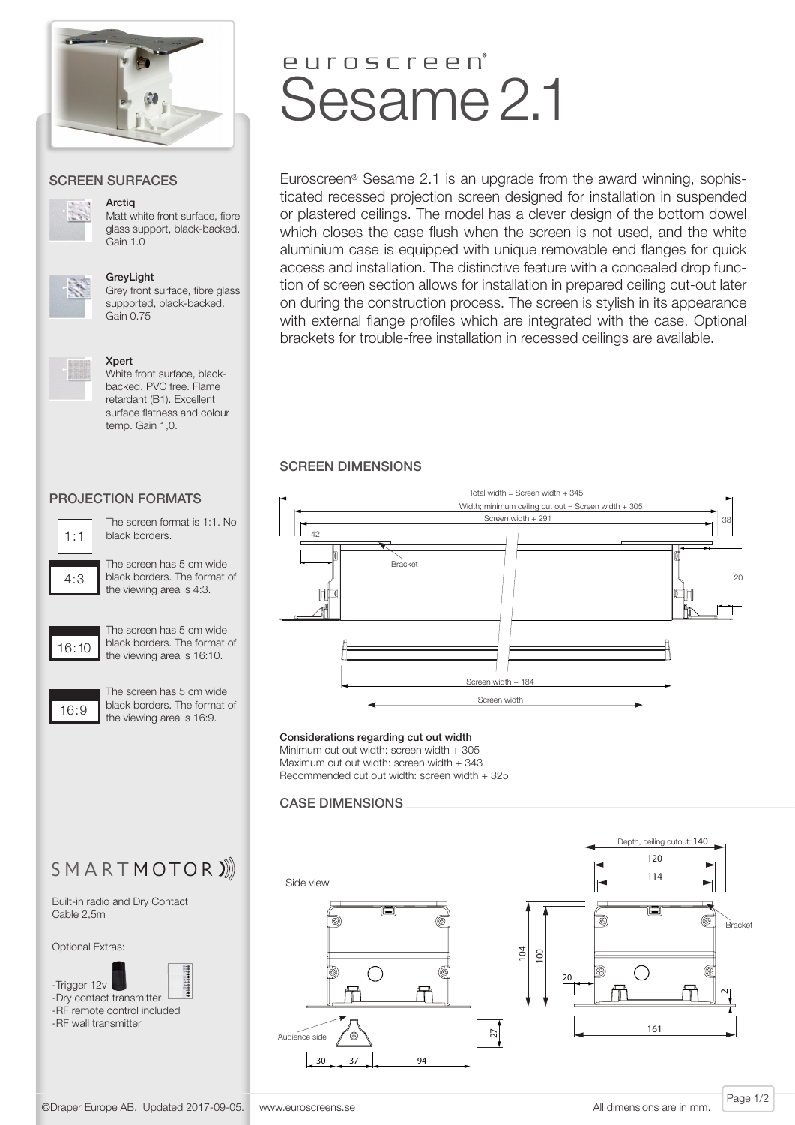

### SCREEN SURFACES



**Arctig** 

Matt white front surface, fibre glass support, black-backed. Gain 1.0



GreyLight

Grey front surface, fibre glass supported, black-backed. Gain 0.75

#### Xpert



White front surface, blackbacked. PVC free. Flame retardant (B1). Excellent surface flatness and colour temp. Gain 1,0.

# PROJECTION FORMATS



 $4:3$ 

The screen format is 1:1. No black borders.

The screen has 5 cm wide black borders. The format of the viewing area is 4:3.



The screen has 5 cm wide black borders. The format of the viewing area is 16:10.



The screen has 5 cm wide black borders. The format of the viewing area is 16:9.

# euroscreen<sup>®</sup> Sesame 2.1

Euroscreen® Sesame 2.1 is an upgrade from the award winning, sophisticated recessed projection screen designed for installation in suspended or plastered ceilings. The model has a clever design of the bottom dowel which closes the case flush when the screen is not used, and the white aluminium case is equipped with unique removable end flanges for quick access and installation. The distinctive feature with a concealed drop function of screen section allows for installation in prepared ceiling cut-out later on during the construction process. The screen is stylish in its appearance with external flange profiles which are integrated with the case. Optional brackets for trouble-free installation in recessed ceilings are available.

# SCREEN DIMENSIONS



#### Considerations regarding cut out width

Minimum cut out width: screen width + 305 Maximum cut out width: screen width + 343 Recommended cut out width: screen width + 325

# CASE DIMENSIONS



SMARTMOTOR)

Built-in radio and Dry Contact Cable 2,5m

Optional Extras:





-RF remote control included -RF wall transmitter

Page 1/2 ©Draper Europe AB. Updated 2017-09-05. www.euroscreens.se All dimensions are in mm.